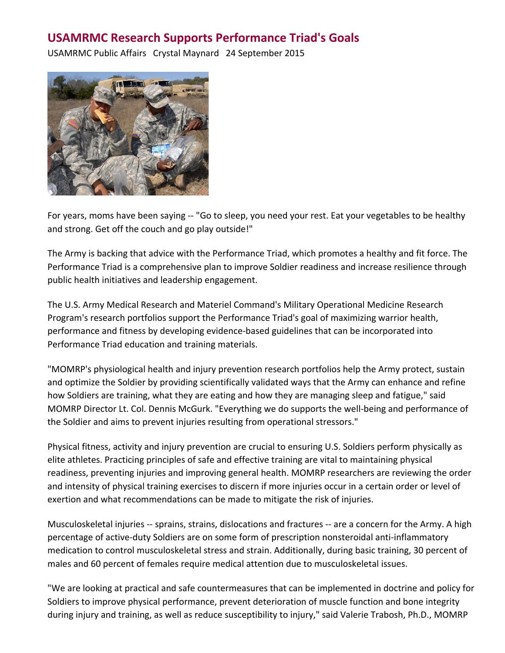## **USAMRMC Research Supports Performance Triad's Goals**

USAMRMC Public Affairs Crystal Maynard 24 September 2015



For years, moms have been saying -- "Go to sleep, you need your rest. Eat your vegetables to be healthy and strong. Get off the couch and go play outside!"

The Army is backing that advice with the Performance Triad, which promotes a healthy and fit force. The Performance Triad is a comprehensive plan to improve Soldier readiness and increase resilience through public health initiatives and leadership engagement.

The U.S. Army Medical Research and Materiel Command's Military Operational Medicine Research Program's research portfolios support the Performance Triad's goal of maximizing warrior health, performance and fitness by developing evidence-based guidelines that can be incorporated into Performance Triad education and training materials.

"MOMRP's physiological health and injury prevention research portfolios help the Army protect, sustain and optimize the Soldier by providing scientifically validated ways that the Army can enhance and refine how Soldiers are training, what they are eating and how they are managing sleep and fatigue," said MOMRP Director Lt. Col. Dennis McGurk. "Everything we do supports the well-being and performance of the Soldier and aims to prevent injuries resulting from operational stressors."

Physical fitness, activity and injury prevention are crucial to ensuring U.S. Soldiers perform physically as elite athletes. Practicing principles of safe and effective training are vital to maintaining physical readiness, preventing injuries and improving general health. MOMRP researchers are reviewing the order and intensity of physical training exercises to discern if more injuries occur in a certain order or level of exertion and what recommendations can be made to mitigate the risk of injuries.

Musculoskeletal injuries -- sprains, strains, dislocations and fractures -- are a concern for the Army. A high percentage of active-duty Soldiers are on some form of prescription nonsteroidal anti-inflammatory medication to control musculoskeletal stress and strain. Additionally, during basic training, 30 percent of males and 60 percent of females require medical attention due to musculoskeletal issues.

"We are looking at practical and safe countermeasures that can be implemented in doctrine and policy for Soldiers to improve physical performance, prevent deterioration of muscle function and bone integrity during injury and training, as well as reduce susceptibility to injury," said Valerie Trabosh, Ph.D., MOMRP